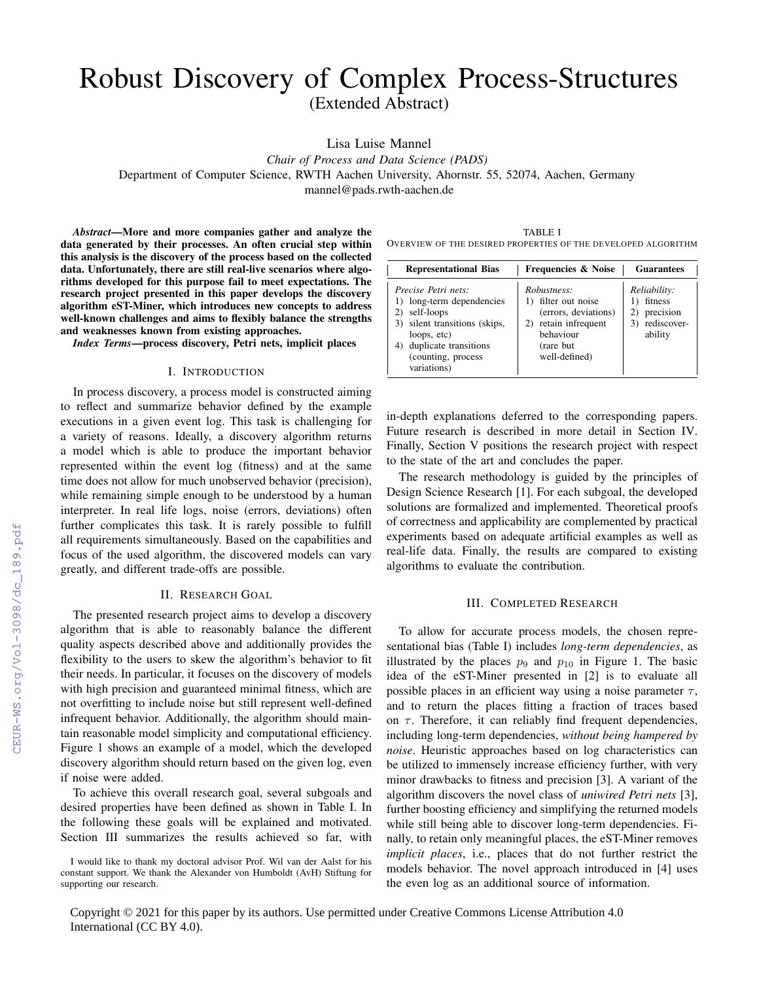# Robust Discovery of Complex Process-Structures (Extended Abstract)

Lisa Luise Mannel

*Chair of Process and Data Science (PADS)*

Department of Computer Science, RWTH Aachen University, Ahornstr. 55, 52074, Aachen, Germany

mannel@pads.rwth-aachen.de

*Abstract*—More and more companies gather and analyze the data generated by their processes. An often crucial step within this analysis is the discovery of the process based on the collected data. Unfortunately, there are still real-live scenarios where algorithms developed for this purpose fail to meet expectations. The research project presented in this paper develops the discovery algorithm eST-Miner, which introduces new concepts to address well-known challenges and aims to flexibly balance the strengths and weaknesses known from existing approaches.

*Index Terms*—process discovery, Petri nets, implicit places

### I. INTRODUCTION

In process discovery, a process model is constructed aiming to reflect and summarize behavior defined by the example executions in a given event log. This task is challenging for a variety of reasons. Ideally, a discovery algorithm returns a model which is able to produce the important behavior represented within the event log (fitness) and at the same time does not allow for much unobserved behavior (precision), while remaining simple enough to be understood by a human interpreter. In real life logs, noise (errors, deviations) often further complicates this task. It is rarely possible to fulfill all requirements simultaneously. Based on the capabilities and focus of the used algorithm, the discovered models can vary greatly, and different trade-offs are possible.

## II. RESEARCH GOAL

The presented research project aims to develop a discovery algorithm that is able to reasonably balance the different quality aspects described above and additionally provides the flexibility to the users to skew the algorithm's behavior to fit their needs. In particular, it focuses on the discovery of models with high precision and guaranteed minimal fitness, which are not overfitting to include noise but still represent well-defined infrequent behavior. Additionally, the algorithm should maintain reasonable model simplicity and computational efficiency. Figure 1 shows an example of a model, which the developed discovery algorithm should return based on the given log, even if noise were added.

To achieve this overall research goal, several subgoals and desired properties have been defined as shown in Table I. In the following these goals will be explained and motivated. Section III summarizes the results achieved so far, with

TABLE I OVERVIEW OF THE DESIRED PROPERTIES OF THE DEVELOPED ALGORITHM

| <b>Representational Bias</b>                                                                                                                                                          | <b>Frequencies &amp; Noise</b>                                                                                                    | <b>Guarantees</b>                                                 |
|---------------------------------------------------------------------------------------------------------------------------------------------------------------------------------------|-----------------------------------------------------------------------------------------------------------------------------------|-------------------------------------------------------------------|
| Precise Petri nets:<br>1) long-term dependencies<br>2) self-loops<br>3) silent transitions (skips,<br>loops, etc)<br>duplicate transitions<br>4)<br>(counting, process<br>variations) | Robustness:<br>1) filter out noise<br>(errors, deviations)<br>retain infrequent<br>2)<br>behaviour<br>(rare but)<br>well-defined) | Reliability:<br>fitness<br>precision<br>3) rediscover-<br>ability |

in-depth explanations deferred to the corresponding papers. Future research is described in more detail in Section IV. Finally, Section V positions the research project with respect to the state of the art and concludes the paper.

The research methodology is guided by the principles of Design Science Research [1]. For each subgoal, the developed solutions are formalized and implemented. Theoretical proofs of correctness and applicability are complemented by practical experiments based on adequate artificial examples as well as real-life data. Finally, the results are compared to existing algorithms to evaluate the contribution.

#### III. COMPLETED RESEARCH

To allow for accurate process models, the chosen representational bias (Table I) includes *long-term dependencies*, as illustrated by the places  $p_9$  and  $p_{10}$  in Figure 1. The basic idea of the eST-Miner presented in [2] is to evaluate all possible places in an efficient way using a noise parameter  $\tau$ , and to return the places fitting a fraction of traces based on  $\tau$ . Therefore, it can reliably find frequent dependencies, including long-term dependencies, *without being hampered by noise*. Heuristic approaches based on log characteristics can be utilized to immensely increase efficiency further, with very minor drawbacks to fitness and precision [3]. A variant of the algorithm discovers the novel class of *uniwired Petri nets* [3], further boosting efficiency and simplifying the returned models while still being able to discover long-term dependencies. Finally, to retain only meaningful places, the eST-Miner removes *implicit places*, i.e., places that do not further restrict the models behavior. The novel approach introduced in [4] uses the even log as an additional source of information.

Copyright © 2021 for this paper by its authors. Use permitted under Creative Commons License Attribution 4.0 International (CC BY 4.0).

I would like to thank my doctoral advisor Prof. Wil van der Aalst for his constant support. We thank the Alexander von Humboldt (AvH) Stiftung for supporting our research.